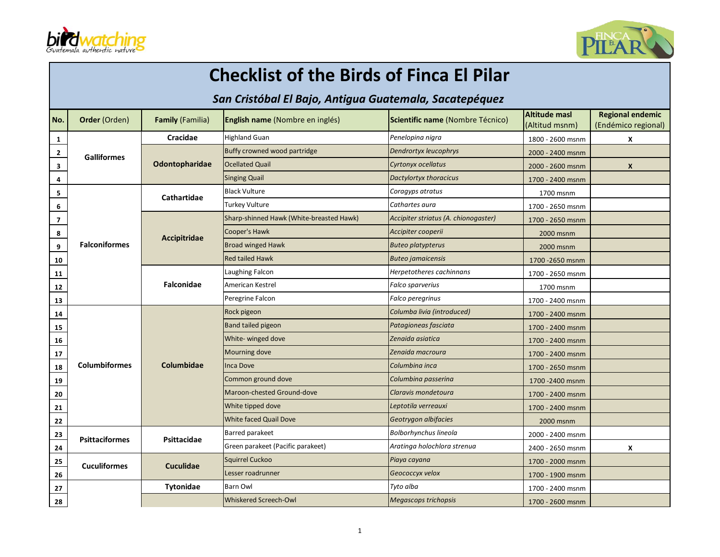



## **Checklist of the Birds of Finca El Pilar**

## **San Cristóbal El Bajo, Antigua Guatemala, Sacatepéquez**

| No.                     | Order (Orden)         | <b>Family (Familia)</b>                 | <b>English name</b> (Nombre en inglés)   | Scientific name (Nombre Técnico)     | <b>Altitude masl</b><br>(Altitud msnm) | <b>Regional endemic</b><br>(Endémico regional) |
|-------------------------|-----------------------|-----------------------------------------|------------------------------------------|--------------------------------------|----------------------------------------|------------------------------------------------|
| 1                       |                       | Cracidae                                | <b>Highland Guan</b>                     | Penelopina nigra                     | 1800 - 2600 msnm                       | x                                              |
| $\mathbf{2}$            | <b>Galliformes</b>    |                                         | Buffy crowned wood partridge             | <b>Dendrortyx leucophrys</b>         | 2000 - 2400 msnm                       |                                                |
| $\overline{\mathbf{3}}$ |                       | Odontopharidae                          | <b>Ocellated Quail</b>                   | Cyrtonyx ocellatus                   | 2000 - 2600 msnm                       | $\mathsf{x}$                                   |
| 4                       |                       |                                         | <b>Singing Quail</b>                     | Dactylortyx thoracicus               | 1700 - 2400 msnm                       |                                                |
| 5                       |                       | Cathartidae                             | <b>Black Vulture</b>                     | Coragyps atratus                     | 1700 msnm                              |                                                |
| 6                       |                       |                                         | <b>Turkey Vulture</b>                    | Cathartes aura                       | 1700 - 2650 msnm                       |                                                |
| $\overline{\mathbf{z}}$ |                       |                                         | Sharp-shinned Hawk (White-breasted Hawk) | Accipiter striatus (A. chionogaster) | 1700 - 2650 msnm                       |                                                |
| 8                       |                       | Accipitridae                            | Cooper's Hawk                            | Accipiter cooperii                   | 2000 msnm                              |                                                |
| 9                       | <b>Falconiformes</b>  |                                         | <b>Broad winged Hawk</b>                 | <b>Buteo platypterus</b>             | 2000 msnm                              |                                                |
| 10                      |                       |                                         | <b>Red tailed Hawk</b>                   | <b>Buteo jamaicensis</b>             | 1700 - 2650 msnm                       |                                                |
| ${\bf 11}$              |                       |                                         | Laughing Falcon                          | Herpetotheres cachinnans             | 1700 - 2650 msnm                       |                                                |
| 12                      |                       | <b>Falconidae</b>                       | American Kestrel                         | Falco sparverius                     | 1700 msnm                              |                                                |
| 13                      |                       |                                         | Peregrine Falcon                         | Falco peregrinus                     | 1700 - 2400 msnm                       |                                                |
| 14                      |                       |                                         | Rock pigeon                              | Columba livia (introduced)           | 1700 - 2400 msnm                       |                                                |
| 15                      |                       |                                         | Band tailed pigeon                       | Patagioneas fasciata                 | 1700 - 2400 msnm                       |                                                |
| 16                      |                       |                                         | White- winged dove                       | Zenaida asiatica                     | 1700 - 2400 msnm                       |                                                |
| 17                      |                       |                                         | Mourning dove                            | Zenaida macroura                     | 1700 - 2400 msnm                       |                                                |
| 18                      | <b>Columbiformes</b>  | Columbidae                              | <b>Inca Dove</b>                         | Columbina inca                       | 1700 - 2650 msnm                       |                                                |
| 19                      |                       |                                         | Common ground dove                       | Columbina passerina                  | 1700 - 2400 msnm                       |                                                |
| 20                      |                       |                                         | Maroon-chested Ground-dove               | Claravis mondetoura                  | 1700 - 2400 msnm                       |                                                |
| 21                      |                       |                                         | White tipped dove                        | Leptotila verreauxi                  | 1700 - 2400 msnm                       |                                                |
| 22                      |                       |                                         | White faced Quail Dove                   | Geotrygon albifacies                 | 2000 msnm                              |                                                |
| 23                      | <b>Psittaciformes</b> | Psittacidae                             | <b>Barred parakeet</b>                   | <b>Bolborhynchus lineola</b>         | 2000 - 2400 msnm                       |                                                |
| 24                      |                       |                                         | Green parakeet (Pacific parakeet)        | Aratinga holochlora strenua          | 2400 - 2650 msnm                       | X                                              |
| 25                      |                       | <b>Cuculiformes</b><br><b>Cuculidae</b> | <b>Squirrel Cuckoo</b>                   | Piaya cayana                         | 1700 - 2000 msnm                       |                                                |
| 26                      |                       |                                         | Lesser roadrunner                        | Geococcyx velox                      | 1700 - 1900 msnm                       |                                                |
| 27                      |                       | Tytonidae                               | <b>Barn Owl</b>                          | Tyto alba                            | 1700 - 2400 msnm                       |                                                |
| 28                      |                       |                                         | Whiskered Screech-Owl                    | Megascops trichopsis                 | 1700 - 2600 msnm                       |                                                |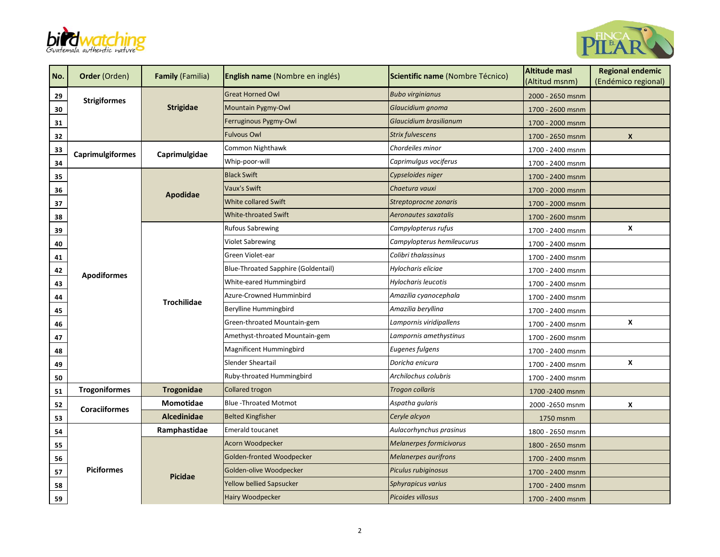



| No. | Order (Orden)           | <b>Family (Familia)</b>                  | English name (Nombre en inglés)     | Scientific name (Nombre Técnico) | <b>Altitude masl</b><br>(Altitud msnm) | <b>Regional endemic</b><br>(Endémico regional) |
|-----|-------------------------|------------------------------------------|-------------------------------------|----------------------------------|----------------------------------------|------------------------------------------------|
| 29  |                         | <b>Strigidae</b>                         | <b>Great Horned Owl</b>             | <b>Bubo virginianus</b>          | 2000 - 2650 msnm                       |                                                |
| 30  | <b>Strigiformes</b>     |                                          | <b>Mountain Pygmy-Owl</b>           | Glaucidium gnoma                 | 1700 - 2600 msnm                       |                                                |
| 31  |                         |                                          | Ferruginous Pygmy-Owl               | Glaucidium brasilianum           | 1700 - 2000 msnm                       |                                                |
| 32  |                         |                                          | <b>Fulvous Owl</b>                  | <b>Strix fulvescens</b>          | 1700 - 2650 msnm                       | X                                              |
| 33  | <b>Caprimulgiformes</b> | Caprimulgidae                            | Common Nighthawk                    | Chordeiles minor                 | 1700 - 2400 msnm                       |                                                |
| 34  |                         |                                          | Whip-poor-will                      | Caprimulgus vociferus            | 1700 - 2400 msnm                       |                                                |
| 35  |                         |                                          | <b>Black Swift</b>                  | Cypseloides niger                | 1700 - 2400 msnm                       |                                                |
| 36  |                         | Apodidae                                 | Vaux's Swift                        | Chaetura vauxi                   | 1700 - 2000 msnm                       |                                                |
| 37  |                         |                                          | <b>White collared Swift</b>         | Streptoprocne zonaris            | 1700 - 2000 msnm                       |                                                |
| 38  |                         |                                          | <b>White-throated Swift</b>         | Aeronautes saxatalis             | 1700 - 2600 msnm                       |                                                |
| 39  |                         |                                          | <b>Rufous Sabrewing</b>             | Campylopterus rufus              | 1700 - 2400 msnm                       | X                                              |
| 40  |                         |                                          | <b>Violet Sabrewing</b>             | Campylopterus hemileucurus       | 1700 - 2400 msnm                       |                                                |
| 41  |                         | <b>Apodiformes</b><br><b>Trochilidae</b> | Green Violet-ear                    | Colibri thalassinus              | 1700 - 2400 msnm                       |                                                |
| 42  |                         |                                          | Blue-Throated Sapphire (Goldentail) | Hylocharis eliciae               | 1700 - 2400 msnm                       |                                                |
| 43  |                         |                                          | White-eared Hummingbird             | Hylocharis leucotis              | 1700 - 2400 msnm                       |                                                |
| 44  |                         |                                          | Azure-Crowned Humminbird            | Amazilia cyanocephala            | 1700 - 2400 msnm                       |                                                |
| 45  |                         |                                          | Berylline Hummingbird               | Amazilia beryllina               | 1700 - 2400 msnm                       |                                                |
| 46  |                         |                                          | Green-throated Mountain-gem         | Lampornis viridipallens          | 1700 - 2400 msnm                       | X                                              |
| 47  |                         |                                          | Amethyst-throated Mountain-gem      | Lampornis amethystinus           | 1700 - 2600 msnm                       |                                                |
| 48  |                         |                                          | Magnificent Hummingbird             | Eugenes fulgens                  | 1700 - 2400 msnm                       |                                                |
| 49  |                         |                                          | Slender Sheartail                   | Doricha enicura                  | 1700 - 2400 msnm                       | X                                              |
| 50  |                         |                                          | Ruby-throated Hummingbird           | Archilochus colubris             | 1700 - 2400 msnm                       |                                                |
| 51  | <b>Trogoniformes</b>    | Trogonidae                               | Collared trogon                     | <b>Trogon collaris</b>           | 1700 - 2400 msnm                       |                                                |
| 52  | <b>Coraciiformes</b>    | Momotidae                                | <b>Blue-Throated Motmot</b>         | Aspatha gularis                  | 2000 - 2650 msnm                       | X                                              |
| 53  |                         | <b>Alcedinidae</b>                       | <b>Belted Kingfisher</b>            | Ceryle alcyon                    | 1750 msnm                              |                                                |
| 54  |                         | Ramphastidae                             | <b>Emerald toucanet</b>             | Aulacorhynchus prasinus          | 1800 - 2650 msnm                       |                                                |
| 55  |                         |                                          | Acorn Woodpecker                    | Melanerpes formicivorus          | 1800 - 2650 msnm                       |                                                |
| 56  |                         |                                          | Golden-fronted Woodpecker           | <b>Melanerpes aurifrons</b>      | 1700 - 2400 msnm                       |                                                |
| 57  | <b>Piciformes</b>       | <b>Picidae</b>                           | Golden-olive Woodpecker             | Piculus rubiginosus              | 1700 - 2400 msnm                       |                                                |
| 58  |                         |                                          | <b>Yellow bellied Sapsucker</b>     | Sphyrapicus varius               | 1700 - 2400 msnm                       |                                                |
| 59  |                         |                                          | <b>Hairy Woodpecker</b>             | Picoides villosus                | 1700 - 2400 msnm                       |                                                |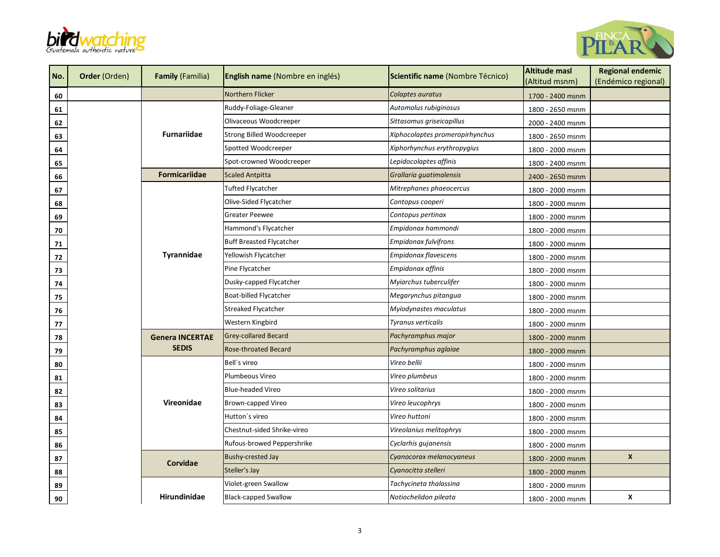



| No.            | Order (Orden) | <b>Family (Familia)</b> | English name (Nombre en inglés) | Scientific name (Nombre Técnico) | <b>Altitude masl</b><br>(Altitud msnm) | <b>Regional endemic</b><br>(Endémico regional) |
|----------------|---------------|-------------------------|---------------------------------|----------------------------------|----------------------------------------|------------------------------------------------|
| 60             |               |                         | Northern Flicker                | Colaptes auratus                 | 1700 - 2400 msnm                       |                                                |
| 61             |               |                         | Ruddy-Foliage-Gleaner           | Automolus rubiginosus            | 1800 - 2650 msnm                       |                                                |
| 62             |               | <b>Furnariidae</b>      | Olivaceous Woodcreeper          | Sittasomus griseicapillus        | 2000 - 2400 msnm                       |                                                |
| 63             |               |                         | Strong Billed Woodcreeper       | Xiphocolaptes promeropirhynchus  | 1800 - 2650 msnm                       |                                                |
| 64             |               |                         | Spotted Woodcreeper             | Xiphorhynchus erythropygius      | 1800 - 2000 msnm                       |                                                |
| 65             |               |                         | Spot-crowned Woodcreeper        | Lepidocolaptes affinis           | 1800 - 2400 msnm                       |                                                |
| 66             |               | <b>Formicariidae</b>    | <b>Scaled Antpitta</b>          | Grallaria quatimalensis          | 2400 - 2650 msnm                       |                                                |
| 67             |               |                         | Tufted Flycatcher               | Mitrephanes phaeocercus          | 1800 - 2000 msnm                       |                                                |
| 68             |               |                         | Olive-Sided Flycatcher          | Contopus cooperi                 | 1800 - 2000 msnm                       |                                                |
| 69             |               |                         | <b>Greater Peewee</b>           | Contopus pertinax                | 1800 - 2000 msnm                       |                                                |
| 70             |               |                         | Hammond's Flycatcher            | Empidonax hammondi               | 1800 - 2000 msnm                       |                                                |
| 71             |               | Tyrannidae              | <b>Buff Breasted Flycatcher</b> | Empidonax fulvifrons             | 1800 - 2000 msnm                       |                                                |
| $\frac{72}{2}$ |               |                         | Yellowish Flycatcher            | Empidonax flavescens             | 1800 - 2000 msnm                       |                                                |
| 73             |               |                         | Pine Flycatcher                 | Empidonax affinis                | 1800 - 2000 msnm                       |                                                |
| 74             |               |                         | Dusky-capped Flycatcher         | Myiarchus tuberculifer           | 1800 - 2000 msnm                       |                                                |
| 75             |               |                         | Boat-billed Flycatcher          | Megarynchus pitangua             | 1800 - 2000 msnm                       |                                                |
| 76             |               |                         | <b>Streaked Flycatcher</b>      | Myiodynastes maculatus           | 1800 - 2000 msnm                       |                                                |
| 77             |               |                         | Western Kingbird                | Tyranus verticalis               | 1800 - 2000 msnm                       |                                                |
| 78             |               | <b>Genera INCERTAE</b>  | <b>Grey-collared Becard</b>     | Pachyramphus major               | 1800 - 2000 msnm                       |                                                |
| 79             |               | <b>SEDIS</b>            | <b>Rose-throated Becard</b>     | Pachyramphus aglaiae             | 1800 - 2000 msnm                       |                                                |
| 80             |               |                         | Bell's vireo                    | Vireo bellii                     | 1800 - 2000 msnm                       |                                                |
| 81             |               |                         | Plumbeous Vireo                 | Vireo plumbeus                   | 1800 - 2000 msnm                       |                                                |
| 82             |               | Vireonidae              | <b>Blue-headed Vireo</b>        | Vireo solitarius                 | 1800 - 2000 msnm                       |                                                |
| 83             |               |                         | Brown-capped Vireo              | Vireo leucophrys                 | 1800 - 2000 msnm                       |                                                |
| 84             |               |                         | Hutton's vireo                  | Vireo huttoni                    | 1800 - 2000 msnm                       |                                                |
| 85             |               |                         | Chestnut-sided Shrike-vireo     | Vireolanius melitophrys          | 1800 - 2000 msnm                       |                                                |
| 86             |               |                         | Rufous-browed Peppershrike      | Cyclarhis gujanensis             | 1800 - 2000 msnm                       |                                                |
| 87             |               | Corvidae                | <b>Bushy-crested Jay</b>        | Cyanocorax melanocyaneus         | 1800 - 2000 msnm                       | $\boldsymbol{x}$                               |
| 88             |               |                         | Steller's Jay                   | Cyanocitta stelleri              | 1800 - 2000 msnm                       |                                                |
| 89             |               |                         | Violet-green Swallow            | Tachycineta thalassina           | 1800 - 2000 msnm                       |                                                |
| 90             |               | Hirundinidae            | <b>Black-capped Swallow</b>     | Notiochelidon pileata            | 1800 - 2000 msnm                       | x                                              |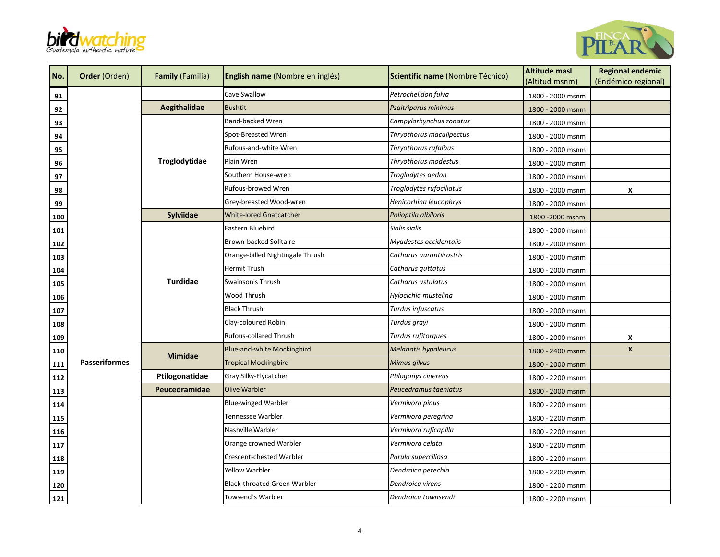



| No. | Order (Orden)        | <b>Family (Familia)</b> | English name (Nombre en inglés)     | Scientific name (Nombre Técnico) | <b>Altitude masl</b><br>(Altitud msnm) | <b>Regional endemic</b><br>(Endémico regional) |
|-----|----------------------|-------------------------|-------------------------------------|----------------------------------|----------------------------------------|------------------------------------------------|
| 91  |                      |                         | Cave Swallow                        | Petrochelidon fulva              | 1800 - 2000 msnm                       |                                                |
| 92  |                      | Aegithalidae            | <b>Bushtit</b>                      | Psaltriparus minimus             | 1800 - 2000 msnm                       |                                                |
| 93  |                      |                         | <b>Band-backed Wren</b>             | Campylorhynchus zonatus          | 1800 - 2000 msnm                       |                                                |
| 94  |                      |                         | Spot-Breasted Wren                  | Thryothorus maculipectus         | 1800 - 2000 msnm                       |                                                |
| 95  |                      |                         | Rufous-and-white Wren               | Thryothorus rufalbus             | 1800 - 2000 msnm                       |                                                |
| 96  |                      | Troglodytidae           | Plain Wren                          | Thryothorus modestus             | 1800 - 2000 msnm                       |                                                |
| 97  |                      |                         | Southern House-wren                 | Troglodytes aedon                | 1800 - 2000 msnm                       |                                                |
| 98  |                      |                         | Rufous-browed Wren                  | Troglodytes rufociliatus         | 1800 - 2000 msnm                       | X                                              |
| 99  |                      |                         | Grey-breasted Wood-wren             | Henicorhina leucophrys           | 1800 - 2000 msnm                       |                                                |
| 100 |                      | Sylviidae               | <b>White-lored Gnatcatcher</b>      | Polioptila albiloris             | 1800 - 2000 msnm                       |                                                |
| 101 |                      |                         | Eastern Bluebird                    | Sialis sialis                    | 1800 - 2000 msnm                       |                                                |
| 102 |                      | <b>Turdidae</b>         | Brown-backed Solitaire              | Myadestes occidentalis           | 1800 - 2000 msnm                       |                                                |
| 103 |                      |                         | Orange-billed Nightingale Thrush    | Catharus aurantiirostris         | 1800 - 2000 msnm                       |                                                |
| 104 |                      |                         | Hermit Trush                        | Catharus guttatus                | 1800 - 2000 msnm                       |                                                |
| 105 |                      |                         | Swainson's Thrush                   | Catharus ustulatus               | 1800 - 2000 msnm                       |                                                |
| 106 |                      |                         | Wood Thrush                         | Hylocichla mustelina             | 1800 - 2000 msnm                       |                                                |
| 107 |                      |                         | <b>Black Thrush</b>                 | Turdus infuscatus                | 1800 - 2000 msnm                       |                                                |
| 108 |                      |                         | Clay-coloured Robin                 | Turdus grayi                     | 1800 - 2000 msnm                       |                                                |
| 109 |                      |                         | Rufous-collared Thrush              | Turdus rufitorques               | 1800 - 2000 msnm                       | X                                              |
| 110 |                      | <b>Mimidae</b>          | Blue-and-white Mockingbird          | <b>Melanotis hypoleucus</b>      | 1800 - 2400 msnm                       | X                                              |
| 111 | <b>Passeriformes</b> |                         | <b>Tropical Mockingbird</b>         | Mimus gilvus                     | 1800 - 2000 msnm                       |                                                |
| 112 |                      | Ptilogonatidae          | Gray Silky-Flycatcher               | Ptilogonys cinereus              | 1800 - 2200 msnm                       |                                                |
| 113 |                      | Peucedramidae           | <b>Olive Warbler</b>                | Peucedramus taeniatus            | 1800 - 2000 msnm                       |                                                |
| 114 |                      |                         | <b>Blue-winged Warbler</b>          | Vermivora pinus                  | 1800 - 2200 msnm                       |                                                |
| 115 |                      |                         | Tennessee Warbler                   | Vermivora peregrina              | 1800 - 2200 msnm                       |                                                |
| 116 |                      |                         | Nashville Warbler                   | Vermivora ruficapilla            | 1800 - 2200 msnm                       |                                                |
| 117 |                      |                         | Orange crowned Warbler              | Vermivora celata                 | 1800 - 2200 msnm                       |                                                |
| 118 |                      |                         | Crescent-chested Warbler            | Parula superciliosa              | 1800 - 2200 msnm                       |                                                |
| 119 |                      |                         | <b>Yellow Warbler</b>               | Dendroica petechia               | 1800 - 2200 msnm                       |                                                |
| 120 |                      |                         | <b>Black-throated Green Warbler</b> | Dendroica virens                 | 1800 - 2200 msnm                       |                                                |
| 121 |                      |                         | Towsend's Warbler                   | Dendroica townsendi              | 1800 - 2200 msnm                       |                                                |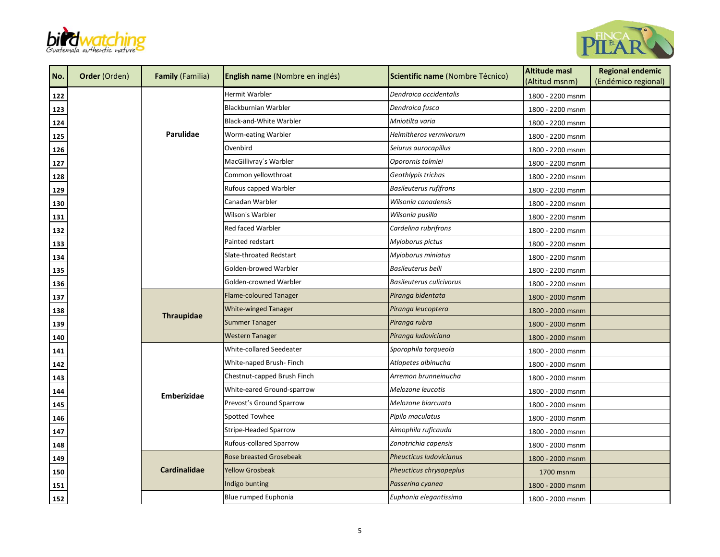



| No.        | <b>Order (Orden)</b> | <b>Family (Familia)</b> | <b>English name</b> (Nombre en inglés) | Scientific name (Nombre Técnico) | <b>Altitude masl</b><br>(Altitud msnm) | <b>Regional endemic</b><br>(Endémico regional) |
|------------|----------------------|-------------------------|----------------------------------------|----------------------------------|----------------------------------------|------------------------------------------------|
| 122        |                      |                         | Hermit Warbler                         | Dendroica occidentalis           | 1800 - 2200 msnm                       |                                                |
| 123        |                      |                         | Blackburnian Warbler                   | Dendroica fusca                  | 1800 - 2200 msnm                       |                                                |
| <u>124</u> |                      |                         | <b>Black-and-White Warbler</b>         | Mniotilta varia                  | 1800 - 2200 msnm                       |                                                |
| 125        |                      | Parulidae               | Worm-eating Warbler                    | Helmitheros vermivorum           | 1800 - 2200 msnm                       |                                                |
| <u>126</u> |                      |                         | Ovenbird                               | Seiurus aurocapillus             | 1800 - 2200 msnm                       |                                                |
| <u>127</u> |                      |                         | MacGillivray's Warbler                 | Oporornis tolmiei                | 1800 - 2200 msnm                       |                                                |
| 128        |                      |                         | Common yellowthroat                    | Geothlypis trichas               | 1800 - 2200 msnm                       |                                                |
| 129        |                      |                         | Rufous capped Warbler                  | <b>Basileuterus rufifrons</b>    | 1800 - 2200 msnm                       |                                                |
| <u>130</u> |                      |                         | Canadan Warbler                        | Wilsonia canadensis              | 1800 - 2200 msnm                       |                                                |
| <u>131</u> |                      |                         | Wilson's Warbler                       | Wilsonia pusilla                 | 1800 - 2200 msnm                       |                                                |
| <u>132</u> |                      |                         | Red faced Warbler                      | Cardelina rubrifrons             | 1800 - 2200 msnm                       |                                                |
| <u>133</u> |                      |                         | Painted redstart                       | Myioborus pictus                 | 1800 - 2200 msnm                       |                                                |
| <u>134</u> |                      |                         | Slate-throated Redstart                | Myioborus miniatus               | 1800 - 2200 msnm                       |                                                |
| <u>135</u> |                      |                         | Golden-browed Warbler                  | Basileuterus belli               | 1800 - 2200 msnm                       |                                                |
| 136        |                      |                         | Golden-crowned Warbler                 | <b>Basileuterus culicivorus</b>  | 1800 - 2200 msnm                       |                                                |
| <u>137</u> |                      |                         | Flame-coloured Tanager                 | Piranga bidentata                | 1800 - 2000 msnm                       |                                                |
| <u>138</u> |                      | <b>Thraupidae</b>       | <b>White-winged Tanager</b>            | Piranga leucoptera               | 1800 - 2000 msnm                       |                                                |
| <u>139</u> |                      |                         | <b>Summer Tanager</b>                  | Piranga rubra                    | 1800 - 2000 msnm                       |                                                |
| 140        |                      |                         | <b>Western Tanager</b>                 | Piranga ludoviciana              | 1800 - 2000 msnm                       |                                                |
| <u>141</u> |                      |                         | White-collared Seedeater               | Sporophila torqueola             | 1800 - 2000 msnm                       |                                                |
| 142        |                      |                         | White-naped Brush- Finch               | Atlapetes albinucha              | 1800 - 2000 msnm                       |                                                |
| 143        |                      |                         | Chestnut-capped Brush Finch            | Arremon brunneinucha             | 1800 - 2000 msnm                       |                                                |
| <u>144</u> |                      | <b>Emberizidae</b>      | White-eared Ground-sparrow             | Melozone leucotis                | 1800 - 2000 msnm                       |                                                |
| 145        |                      |                         | Prevost's Ground Sparrow               | Melozone biarcuata               | 1800 - 2000 msnm                       |                                                |
| 146        |                      |                         | Spotted Towhee                         | Pipilo maculatus                 | 1800 - 2000 msnm                       |                                                |
| <u>147</u> |                      |                         | Stripe-Headed Sparrow                  | Aimophila ruficauda              | 1800 - 2000 msnm                       |                                                |
| 148        |                      |                         | <b>Rufous-collared Sparrow</b>         | Zonotrichia capensis             | 1800 - 2000 msnm                       |                                                |
| 149        |                      |                         | <b>Rose breasted Grosebeak</b>         | <b>Pheucticus Iudovicianus</b>   | 1800 - 2000 msnm                       |                                                |
| <u>150</u> |                      | Cardinalidae            | <b>Yellow Grosbeak</b>                 | Pheucticus chrysopeplus          | 1700 msnm                              |                                                |
| 151        |                      |                         | Indigo bunting                         | Passerina cyanea                 | 1800 - 2000 msnm                       |                                                |
| 152        |                      |                         | Blue rumped Euphonia                   | Euphonia elegantissima           | 1800 - 2000 msnm                       |                                                |